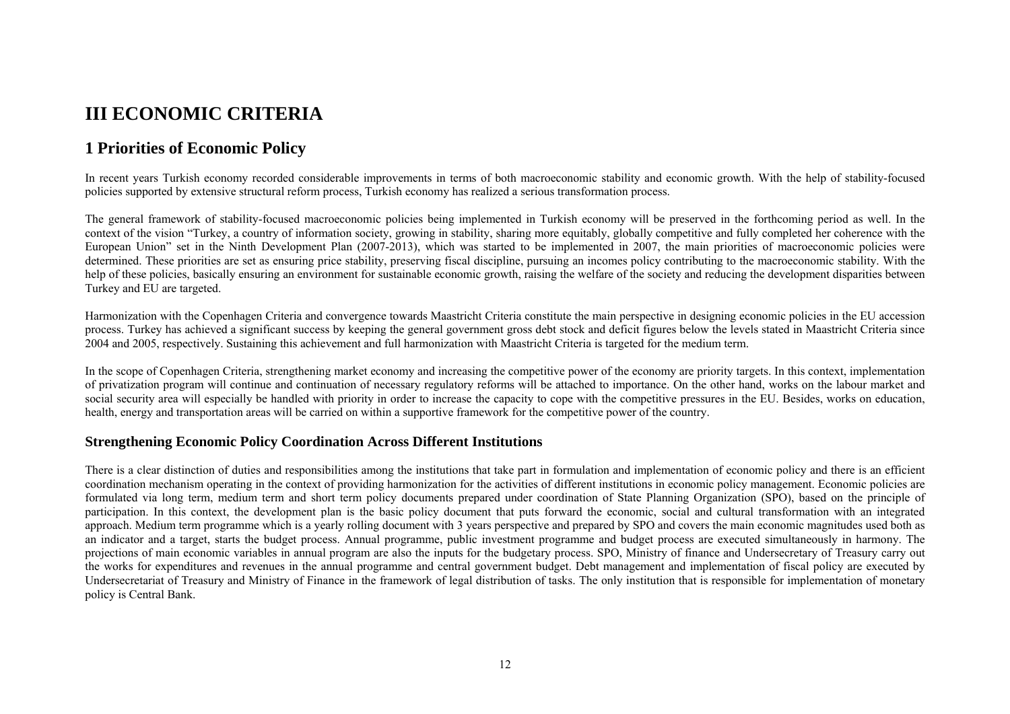# **III ECONOMIC CRITERIA**

# **1 Priorities of Economic Policy**

In recent years Turkish economy recorded considerable improvements in terms of both macroeconomic stability and economic growth. With the help of stability-focused policies supported by extensive structural reform process, Turkish economy has realized a serious transformation process.

The general framework of stability-focused macroeconomic policies being implemented in Turkish economy will be preserved in the forthcoming period as well. In the context of the vision "Turkey, a country of information society, growing in stability, sharing more equitably, globally competitive and fully completed her coherence with the European Union" set in the Ninth Development Plan (2007-2013), which was started to be implemented in 2007, the main priorities of macroeconomic policies were determined. These priorities are set as ensuring price stability, preserving fiscal discipline, pursuing an incomes policy contributing to the macroeconomic stability. With the help of these policies, basically ensuring an environment for sustainable economic growth, raising the welfare of the society and reducing the development disparities between Turkey and EU are targeted.

Harmonization with the Copenhagen Criteria and convergence towards Maastricht Criteria constitute the main perspective in designing economic policies in the EU accession process. Turkey has achieved a significant success by keeping the general government gross debt stock and deficit figures below the levels stated in Maastricht Criteria since 2004 and 2005, respectively. Sustaining this achievement and full harmonization with Maastricht Criteria is targeted for the medium term.

In the scope of Copenhagen Criteria, strengthening market economy and increasing the competitive power of the economy are priority targets. In this context, implementation of privatization program will continue and continuation of necessary regulatory reforms will be attached to importance. On the other hand, works on the labour market and social security area will especially be handled with priority in order to increase the capacity to cope with the competitive pressures in the EU. Besides, works on education, health, energy and transportation areas will be carried on within a supportive framework for the competitive power of the country.

# **Strengthening Economic Policy Coordination Across Different Institutions**

There is a clear distinction of duties and responsibilities among the institutions that take part in formulation and implementation of economic policy and there is an efficient coordination mechanism operating in the context of providing harmonization for the activities of different institutions in economic policy management. Economic policies are formulated via long term, medium term and short term policy documents prepared under coordination of State Planning Organization (SPO), based on the principle of participation. In this context, the development plan is the basic policy document that puts forward the economic, social and cultural transformation with an integrated approach. Medium term programme which is a yearly rolling document with 3 years perspective and prepared by SPO and covers the main economic magnitudes used both as an indicator and a target, starts the budget process. Annual programme, public investment programme and budget process are executed simultaneously in harmony. The projections of main economic variables in annual program are also the inputs for the budgetary process. SPO, Ministry of finance and Undersecretary of Treasury carry out the works for expenditures and revenues in the annual programme and central government budget. Debt management and implementation of fiscal policy are executed by Undersecretariat of Treasury and Ministry of Finance in the framework of legal distribution of tasks. The only institution that is responsible for implementation of monetary policy is Central Bank.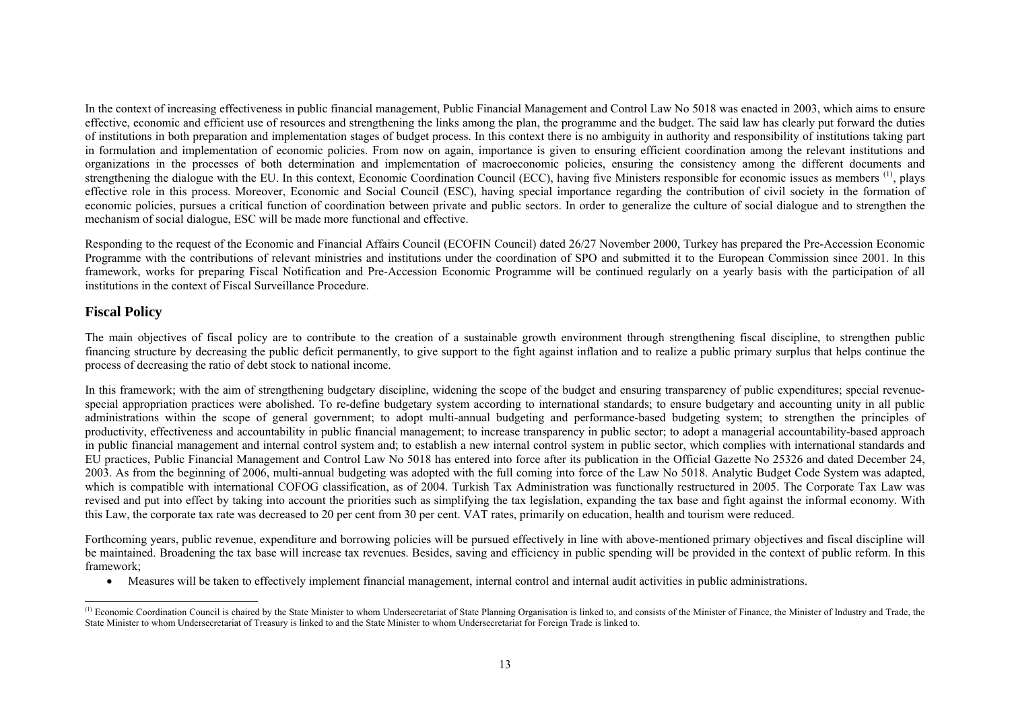In the context of increasing effectiveness in public financial management, Public Financial Management and Control Law No 5018 was enacted in 2003, which aims to ensure effective, economic and efficient use of resources and strengthening the links among the plan, the programme and the budget. The said law has clearly put forward the duties of institutions in both preparation and implementation stages of budget process. In this context there is no ambiguity in authority and responsibility of institutions taking part in formulation and implementation of economic policies. From now on again, importance is given to ensuring efficient coordination among the relevant institutions and organizations in the processes of both determination and implementation of macroeconomic policies, ensuring the consistency among the different documents and strengthening the dialogue with the EU. In this context, Economic Coordination Council (ECC), having five Ministers responsible for economic issues as members  $^{(1)}$  $^{(1)}$  $^{(1)}$ , plays effective role in this process. Moreover, Economic and Social Council (ESC), having special importance regarding the contribution of civil society in the formation of economic policies, pursues a critical function of coordination between private and public sectors. In order to generalize the culture of social dialogue and to strengthen the mechanism of social dialogue, ESC will be made more functional and effective.

Responding to the request of the Economic and Financial Affairs Council (ECOFIN Council) dated 26/27 November 2000, Turkey has prepared the Pre-Accession Economic Programme with the contributions of relevant ministries and institutions under the coordination of SPO and submitted it to the European Commission since 2001. In this framework, works for preparing Fiscal Notification and Pre-Accession Economic Programme will be continued regularly on a yearly basis with the participation of all institutions in the context of Fiscal Surveillance Procedure.

## **Fiscal Policy**

The main objectives of fiscal policy are to contribute to the creation of a sustainable growth environment through strengthening fiscal discipline, to strengthen public financing structure by decreasing the public deficit permanently, to give support to the fight against inflation and to realize a public primary surplus that helps continue the process of decreasing the ratio of debt stock to national income.

In this framework; with the aim of strengthening budgetary discipline, widening the scope of the budget and ensuring transparency of public expenditures; special revenuespecial appropriation practices were abolished. To re-define budgetary system according to international standards; to ensure budgetary and accounting unity in all public administrations within the scope of general government; to adopt multi-annual budgeting and performance-based budgeting system; to strengthen the principles of productivity, effectiveness and accountability in public financial management; to increase transparency in public sector; to adopt a managerial accountability-based approach in public financial management and internal control system and; to establish a new internal control system in public sector, which complies with international standards and EU practices, Public Financial Management and Control Law No 5018 has entered into force after its publication in the Official Gazette No 25326 and dated December 24, 2003. As from the beginning of 2006, multi-annual budgeting was adopted with the full coming into force of the Law No 5018. Analytic Budget Code System was adapted, which is compatible with international COFOG classification, as of 2004. Turkish Tax Administration was functionally restructured in 2005. The Corporate Tax Law was revised and put into effect by taking into account the priorities such as simplifying the tax legislation, expanding the tax base and fight against the informal economy. With this Law, the corporate tax rate was decreased to 20 per cent from 30 per cent. VAT rates, primarily on education, health and tourism were reduced.

Forthcoming years, public revenue, expenditure and borrowing policies will be pursued effectively in line with above-mentioned primary objectives and fiscal discipline will be maintained. Broadening the tax base will increase tax revenues. Besides, saving and efficiency in public spending will be provided in the context of public reform. In this framework;

• Measures will be taken to effectively implement financial management, internal control and internal audit activities in public administrations.

<span id="page-1-0"></span><sup>&</sup>lt;sup>(1)</sup> Economic Coordination Council is chaired by the State Minister to whom Undersecretariat of State Planning Organisation is linked to, and consists of the Minister of Finance, the Minister of Industry and Trade, the State Minister to whom Undersecretariat of Treasury is linked to and the State Minister to whom Undersecretariat for Foreign Trade is linked to.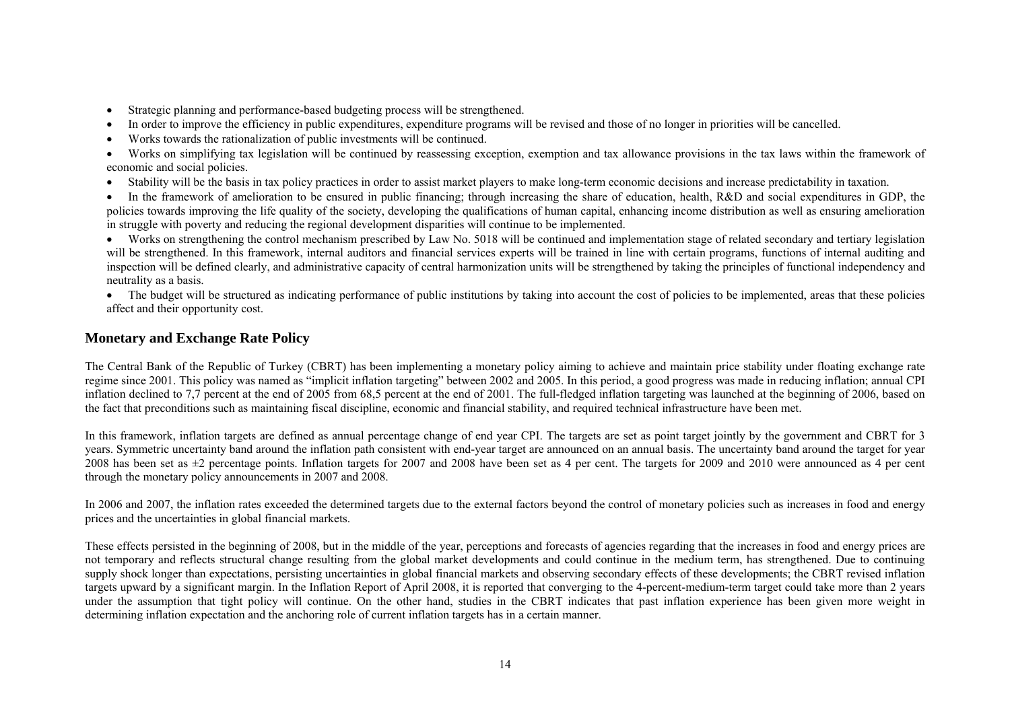- Strategic planning and performance-based budgeting process will be strengthened.
- In order to improve the efficiency in public expenditures, expenditure programs will be revised and those of no longer in priorities will be cancelled.
- Works towards the rationalization of public investments will be continued.

• Works on simplifying tax legislation will be continued by reassessing exception, exemption and tax allowance provisions in the tax laws within the framework of economic and social policies.

• Stability will be the basis in tax policy practices in order to assist market players to make long-term economic decisions and increase predictability in taxation.

• In the framework of amelioration to be ensured in public financing; through increasing the share of education, health, R&D and social expenditures in GDP, the policies towards improving the life quality of the society, developing the qualifications of human capital, enhancing income distribution as well as ensuring amelioration in struggle with poverty and reducing the regional development disparities will continue to be implemented.

• Works on strengthening the control mechanism prescribed by Law No. 5018 will be continued and implementation stage of related secondary and tertiary legislation will be strengthened. In this framework, internal auditors and financial services experts will be trained in line with certain programs, functions of internal auditing and inspection will be defined clearly, and administrative capacity of central harmonization units will be strengthened by taking the principles of functional independency and neutrality as a basis.

• The budget will be structured as indicating performance of public institutions by taking into account the cost of policies to be implemented, areas that these policies affect and their opportunity cost.

# **Monetary and Exchange Rate Policy**

The Central Bank of the Republic of Turkey (CBRT) has been implementing a monetary policy aiming to achieve and maintain price stability under floating exchange rate regime since 2001. This policy was named as "implicit inflation targeting" between 2002 and 2005. In this period, a good progress was made in reducing inflation; annual CPI inflation declined to 7,7 percent at the end of 2005 from 68,5 percent at the end of 2001. The full-fledged inflation targeting was launched at the beginning of 2006, based on the fact that preconditions such as maintaining fiscal discipline, economic and financial stability, and required technical infrastructure have been met.

In this framework, inflation targets are defined as annual percentage change of end year CPI. The targets are set as point target jointly by the government and CBRT for 3 years. Symmetric uncertainty band around the inflation path consistent with end-year target are announced on an annual basis. The uncertainty band around the target for year 2008 has been set as ±2 percentage points. Inflation targets for 2007 and 2008 have been set as 4 per cent. The targets for 2009 and 2010 were announced as 4 per cent through the monetary policy announcements in 2007 and 2008.

In 2006 and 2007, the inflation rates exceeded the determined targets due to the external factors beyond the control of monetary policies such as increases in food and energy prices and the uncertainties in global financial markets.

These effects persisted in the beginning of 2008, but in the middle of the year, perceptions and forecasts of agencies regarding that the increases in food and energy prices are not temporary and reflects structural change resulting from the global market developments and could continue in the medium term, has strengthened. Due to continuing supply shock longer than expectations, persisting uncertainties in global financial markets and observing secondary effects of these developments; the CBRT revised inflation targets upward by a significant margin. In the Inflation Report of April 2008, it is reported that converging to the 4-percent-medium-term target could take more than 2 years under the assumption that tight policy will continue. On the other hand, studies in the CBRT indicates that past inflation experience has been given more weight in determining inflation expectation and the anchoring role of current inflation targets has in a certain manner.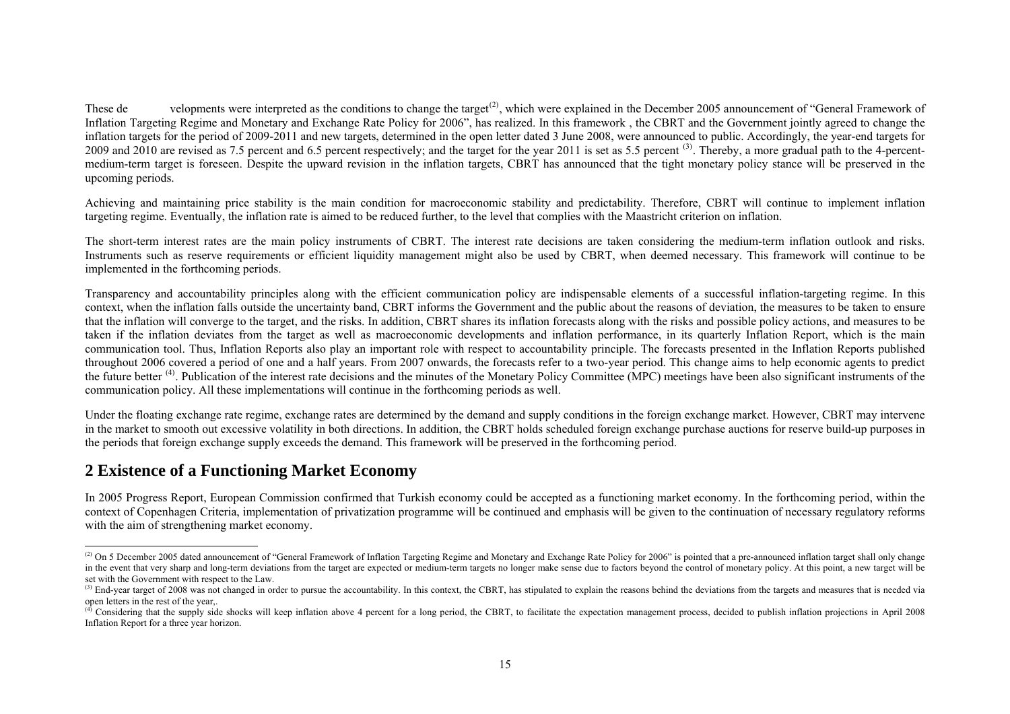These de velopments were interpreted as the conditions to change the target<sup>[\(2\)](#page-3-0)</sup>, which were explained in the December 2005 announcement of "General Framework of Inflation Targeting Regime and Monetary and Exchange Rate Policy for 2006", has realized. In this framework , the CBRT and the Government jointly agreed to change the inflation targets for the period of 2009-2011 and new targets, determined in the open letter dated 3 June 2008, were announced to public. Accordingly, the year-end targets for 2009 and 2010 are revised as 7.5 percent and 6.5 percent respectively; and the target for the year 2011 is set as 5.5 percent<sup>[\(3\)](#page-3-1)</sup>. Thereby, a more gradual path to the 4-percentmedium-term target is foreseen. Despite the upward revision in the inflation targets, CBRT has announced that the tight monetary policy stance will be preserved in the upcoming periods.

Achieving and maintaining price stability is the main condition for macroeconomic stability and predictability. Therefore, CBRT will continue to implement inflation targeting regime. Eventually, the inflation rate is aimed to be reduced further, to the level that complies with the Maastricht criterion on inflation.

The short-term interest rates are the main policy instruments of CBRT. The interest rate decisions are taken considering the medium-term inflation outlook and risks. Instruments such as reserve requirements or efficient liquidity management might also be used by CBRT, when deemed necessary. This framework will continue to be implemented in the forthcoming periods.

Transparency and accountability principles along with the efficient communication policy are indispensable elements of a successful inflation-targeting regime. In this context, when the inflation falls outside the uncertainty band, CBRT informs the Government and the public about the reasons of deviation, the measures to be taken to ensure that the inflation will converge to the target, and the risks. In addition, CBRT shares its inflation forecasts along with the risks and possible policy actions, and measures to be taken if the inflation deviates from the target as well as macroeconomic developments and inflation performance, in its quarterly Inflation Report, which is the main communication tool. Thus, Inflation Reports also play an important role with respect to accountability principle. The forecasts presented in the Inflation Reports published throughout 2006 covered a period of one and a half years. From 2007 onwards, the forecasts refer to a two-year period. This change aims to help economic agents to predict the future better <sup>[\(4\)](#page-3-2)</sup>. Publication of the interest rate decisions and the minutes of the Monetary Policy Committee (MPC) meetings have been also significant instruments of the communication policy. All these implementations will continue in the forthcoming periods as well.

Under the floating exchange rate regime, exchange rates are determined by the demand and supply conditions in the foreign exchange market. However, CBRT may intervene in the market to smooth out excessive volatility in both directions. In addition, the CBRT holds scheduled foreign exchange purchase auctions for reserve build-up purposes in the periods that foreign exchange supply exceeds the demand. This framework will be preserved in the forthcoming period.

# **2 Existence of a Functioning Market Economy**

In 2005 Progress Report, European Commission confirmed that Turkish economy could be accepted as a functioning market economy. In the forthcoming period, within the context of Copenhagen Criteria, implementation of privatization programme will be continued and emphasis will be given to the continuation of necessary regulatory reforms with the aim of strengthening market economy.

<span id="page-3-0"></span><sup>&</sup>lt;sup>(2)</sup> On 5 December 2005 dated announcement of "General Framework of Inflation Targeting Regime and Monetary and Exchange Rate Policy for 2006" is pointed that a pre-announced inflation target shall only change in the event that very sharp and long-term deviations from the target are expected or medium-term targets no longer make sense due to factors beyond the control of monetary policy. At this point, a new target will be set with the Government with respect to the Law.

<span id="page-3-1"></span> $<sup>(3)</sup>$  End-year target of 2008 was not changed in order to pursue the accountability. In this context, the CBRT, has stipulated to explain the reasons behind the deviations from the targets and measures that is needed </sup> open letters in the rest of the year

<span id="page-3-2"></span><sup>&</sup>lt;sup>(4)</sup> Considering that the supply side shocks will keep inflation above 4 percent for a long period, the CBRT, to facilitate the expectation management process, decided to publish inflation projections in April 2008 Inflation Report for a three year horizon.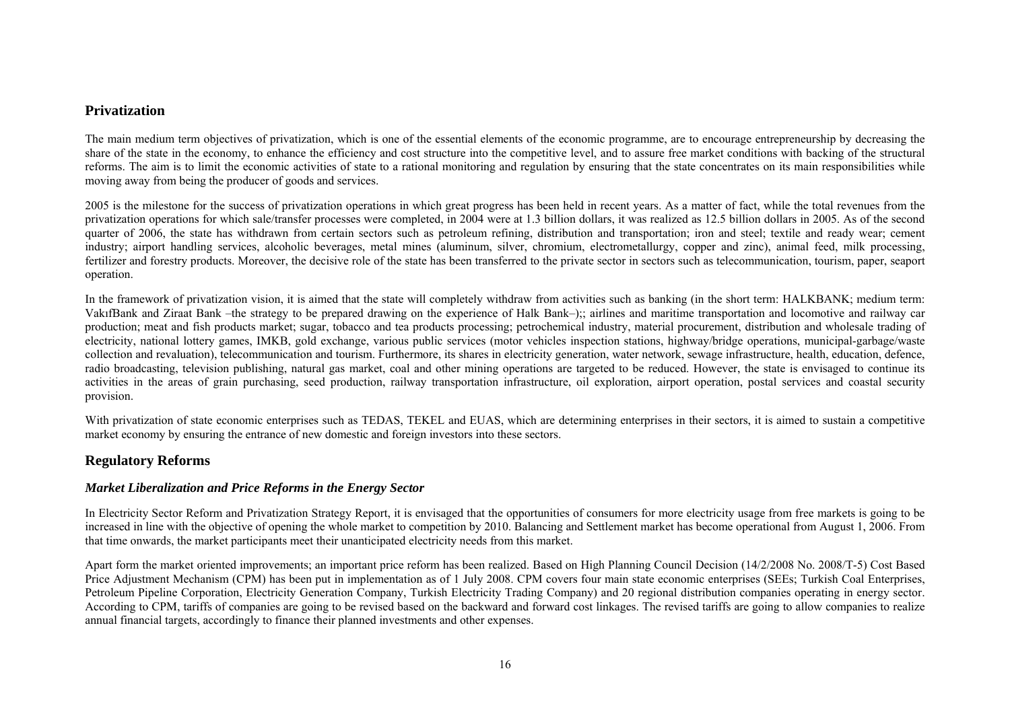#### **Privatization**

The main medium term objectives of privatization, which is one of the essential elements of the economic programme, are to encourage entrepreneurship by decreasing the share of the state in the economy, to enhance the efficiency and cost structure into the competitive level, and to assure free market conditions with backing of the structural reforms. The aim is to limit the economic activities of state to a rational monitoring and regulation by ensuring that the state concentrates on its main responsibilities while moving away from being the producer of goods and services.

2005 is the milestone for the success of privatization operations in which great progress has been held in recent years. As a matter of fact, while the total revenues from the privatization operations for which sale/transfer processes were completed, in 2004 were at 1.3 billion dollars, it was realized as 12.5 billion dollars in 2005. As of the second quarter of 2006, the state has withdrawn from certain sectors such as petroleum refining, distribution and transportation; iron and steel; textile and ready wear; cement industry; airport handling services, alcoholic beverages, metal mines (aluminum, silver, chromium, electrometallurgy, copper and zinc), animal feed, milk processing, fertilizer and forestry products. Moreover, the decisive role of the state has been transferred to the private sector in sectors such as telecommunication, tourism, paper, seaport operation.

In the framework of privatization vision, it is aimed that the state will completely withdraw from activities such as banking (in the short term: HALKBANK; medium term: VakıfBank and Ziraat Bank –the strategy to be prepared drawing on the experience of Halk Bank–);; airlines and maritime transportation and locomotive and railway car production; meat and fish products market; sugar, tobacco and tea products processing; petrochemical industry, material procurement, distribution and wholesale trading of electricity, national lottery games, IMKB, gold exchange, various public services (motor vehicles inspection stations, highway/bridge operations, municipal-garbage/waste collection and revaluation), telecommunication and tourism. Furthermore, its shares in electricity generation, water network, sewage infrastructure, health, education, defence, radio broadcasting, television publishing, natural gas market, coal and other mining operations are targeted to be reduced. However, the state is envisaged to continue its activities in the areas of grain purchasing, seed production, railway transportation infrastructure, oil exploration, airport operation, postal services and coastal security provision.

With privatization of state economic enterprises such as TEDAS, TEKEL and EUAS, which are determining enterprises in their sectors, it is aimed to sustain a competitive market economy by ensuring the entrance of new domestic and foreign investors into these sectors.

### **Regulatory Reforms**

#### *Market Liberalization and Price Reforms in the Energy Sector*

In Electricity Sector Reform and Privatization Strategy Report, it is envisaged that the opportunities of consumers for more electricity usage from free markets is going to be increased in line with the objective of opening the whole market to competition by 2010. Balancing and Settlement market has become operational from August 1, 2006. From that time onwards, the market participants meet their unanticipated electricity needs from this market.

Apart form the market oriented improvements; an important price reform has been realized. Based on High Planning Council Decision (14/2/2008 No. 2008/T-5) Cost Based Price Adjustment Mechanism (CPM) has been put in implementation as of 1 July 2008. CPM covers four main state economic enterprises (SEEs; Turkish Coal Enterprises, Petroleum Pipeline Corporation, Electricity Generation Company, Turkish Electricity Trading Company) and 20 regional distribution companies operating in energy sector. According to CPM, tariffs of companies are going to be revised based on the backward and forward cost linkages. The revised tariffs are going to allow companies to realize annual financial targets, accordingly to finance their planned investments and other expenses.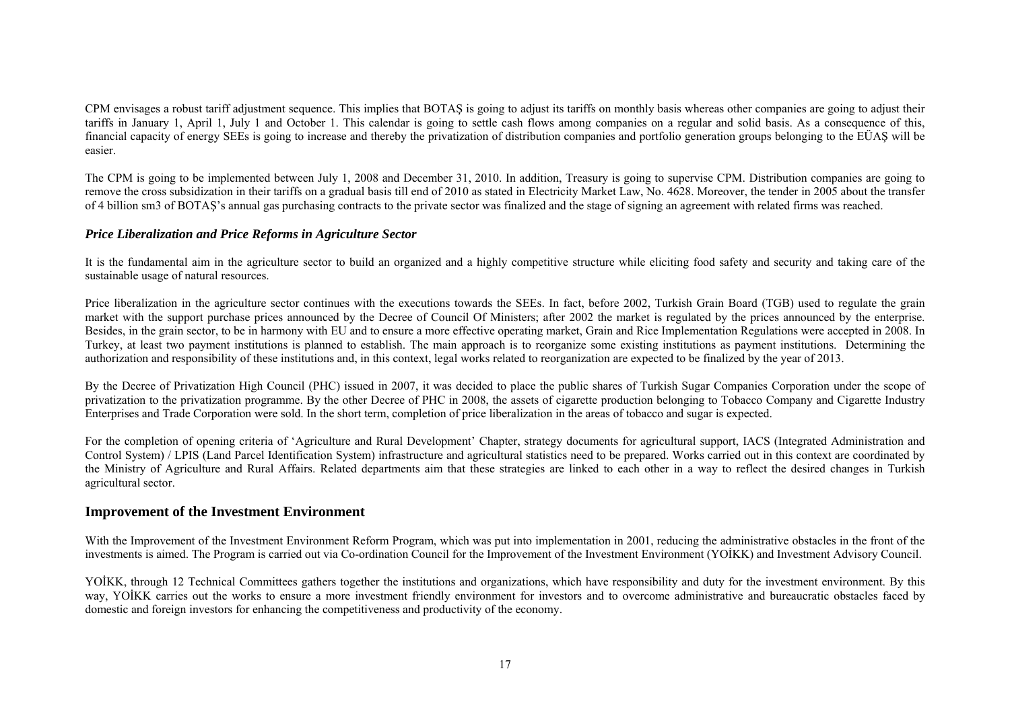CPM envisages a robust tariff adjustment sequence. This implies that BOTAŞ is going to adjust its tariffs on monthly basis whereas other companies are going to adjust their tariffs in January 1, April 1, July 1 and October 1. This calendar is going to settle cash flows among companies on a regular and solid basis. As a consequence of this, financial capacity of energy SEEs is going to increase and thereby the privatization of distribution companies and portfolio generation groups belonging to the EÜAŞ will be easier.

The CPM is going to be implemented between July 1, 2008 and December 31, 2010. In addition, Treasury is going to supervise CPM. Distribution companies are going to remove the cross subsidization in their tariffs on a gradual basis till end of 2010 as stated in Electricity Market Law, No. 4628. Moreover, the tender in 2005 about the transfer of 4 billion sm3 of BOTAŞ's annual gas purchasing contracts to the private sector was finalized and the stage of signing an agreement with related firms was reached.

#### *Price Liberalization and Price Reforms in Agriculture Sector*

It is the fundamental aim in the agriculture sector to build an organized and a highly competitive structure while eliciting food safety and security and taking care of the sustainable usage of natural resources.

Price liberalization in the agriculture sector continues with the executions towards the SEEs. In fact, before 2002, Turkish Grain Board (TGB) used to regulate the grain market with the support purchase prices announced by the Decree of Council Of Ministers; after 2002 the market is regulated by the prices announced by the enterprise. Besides, in the grain sector, to be in harmony with EU and to ensure a more effective operating market, Grain and Rice Implementation Regulations were accepted in 2008. In Turkey, at least two payment institutions is planned to establish. The main approach is to reorganize some existing institutions as payment institutions. Determining the authorization and responsibility of these institutions and, in this context, legal works related to reorganization are expected to be finalized by the year of 2013.

By the Decree of Privatization High Council (PHC) issued in 2007, it was decided to place the public shares of Turkish Sugar Companies Corporation under the scope of privatization to the privatization programme. By the other Decree of PHC in 2008, the assets of cigarette production belonging to Tobacco Company and Cigarette Industry Enterprises and Trade Corporation were sold. In the short term, completion of price liberalization in the areas of tobacco and sugar is expected.

For the completion of opening criteria of 'Agriculture and Rural Development' Chapter, strategy documents for agricultural support, IACS (Integrated Administration and Control System) / LPIS (Land Parcel Identification System) infrastructure and agricultural statistics need to be prepared. Works carried out in this context are coordinated by the Ministry of Agriculture and Rural Affairs. Related departments aim that these strategies are linked to each other in a way to reflect the desired changes in Turkish agricultural sector.

### **Improvement of the Investment Environment**

With the Improvement of the Investment Environment Reform Program, which was put into implementation in 2001, reducing the administrative obstacles in the front of the investments is aimed. The Program is carried out via Co-ordination Council for the Improvement of the Investment Environment (Y <sup>O</sup>İKK) and Investment Advisory Council.

YOİKK, through 12 Technical Committees gathers together the institutions and organizations, which have responsibility and duty for the investment environment. By this way, YOİKK carries out the works to ensure a more investment friendly environment for investors and to overcome administrative and bureaucratic obstacles faced by domestic and foreign investors for enhancing the competitiveness and productivity of the economy.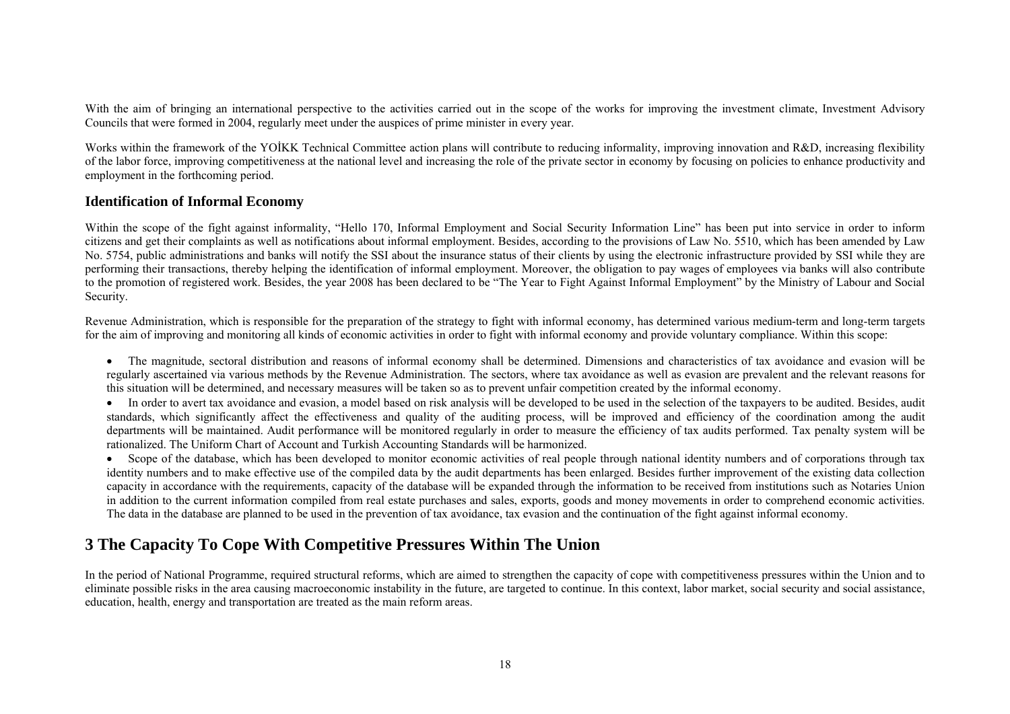With the aim of bringing an international perspective to the activities carried out in the scope of the works for improving the investment climate, Investment Advisory Councils that were formed in 2004, regularly meet under the auspices of prime minister in every year.

Works within the framework of the YOİKK Technical Committee action plans will contribute to reducing informality, improving innovation and R&D, increasing flexibility of the labor force, improving competitiveness at the national level and increasing the role of the private sector in economy by focusing on policies to enhance productivity and employment in the forthcoming period.

#### **Identification of Informal Economy**

Within the scope of the fight against informality, "Hello 170, Informal Employment and Social Security Information Line" has been put into service in order to inform citizens and get their complaints as well as notifications about informal employment. Besides, according to the provisions of Law No. 5510, which has been amended by Law No. 5754, public administrations and banks will notify the SSI about the insurance status of their clients by using the electronic infrastructure provided by SSI while they are performing their transactions, thereby helping the identification of informal employment. Moreover, the obligation to pay wages of employees via banks will also contribute to the promotion of registered work. Besides, the year 2008 has been declared to be "The Year to Fight Against Informal Employment" by the Ministry of Labour and Social Security.

Revenue Administration, which is responsible for the preparation of the strategy to fight with informal economy, has determined various medium-term and long-term targets for the aim of improving and monitoring all kinds of economic activities in order to fight with informal economy and provide voluntary compliance. Within this scope:

• The magnitude, sectoral distribution and reasons of informal economy shall be determined. Dimensions and characteristics of tax avoidance and evasion will be regularly ascertained via various methods by the Revenue Administration. The sectors, where tax avoidance as well as evasion are prevalent and the relevant reasons for this situation will be determined, and necessary measures will be taken so as to prevent unfair competition created by the informal economy.

• In order to avert tax avoidance and evasion, a model based on risk analysis will be developed to be used in the selection of the taxpayers to be audited. Besides, audit standards, which significantly affect the effectiveness and quality of the auditing process, will be improved and efficiency of the coordination among the audit departments will be maintained. Audit performance will be monitored regularly in order to measure the efficiency of tax audits performed. Tax penalty system will be rationalized. The Uniform Chart of Account and Turkish Accounting Standards will be harmonized.

• Scope of the database, which has been developed to monitor economic activities of real people through national identity numbers and of corporations through tax identity numbers and to make effective use of the compiled data by the audit departments has been enlarged. Besides further improvement of the existing data collection capacity in accordance with the requirements, capacity of the database will be expanded through the information to be received from institutions such as Notaries Union in addition to the current information compiled from real estate purchases and sales, exports, goods and money movements in order to comprehend economic activities. The data in the database are planned to be used in the prevention of tax avoidance, tax evasion and the continuation of the fight against informal economy.

# **3 The Capacity To Cope With Competitive Pressures Within The Union**

In the period of National Programme, required structural reforms, which are aimed to strengthen the capacity of cope with competitiveness pressures within the Union and to eliminate possible risks in the area causing macroeconomic instability in the future, are targeted to continue. In this context, labor market, social security and social assistance, education, health, energy and transportation are treated as the main reform areas.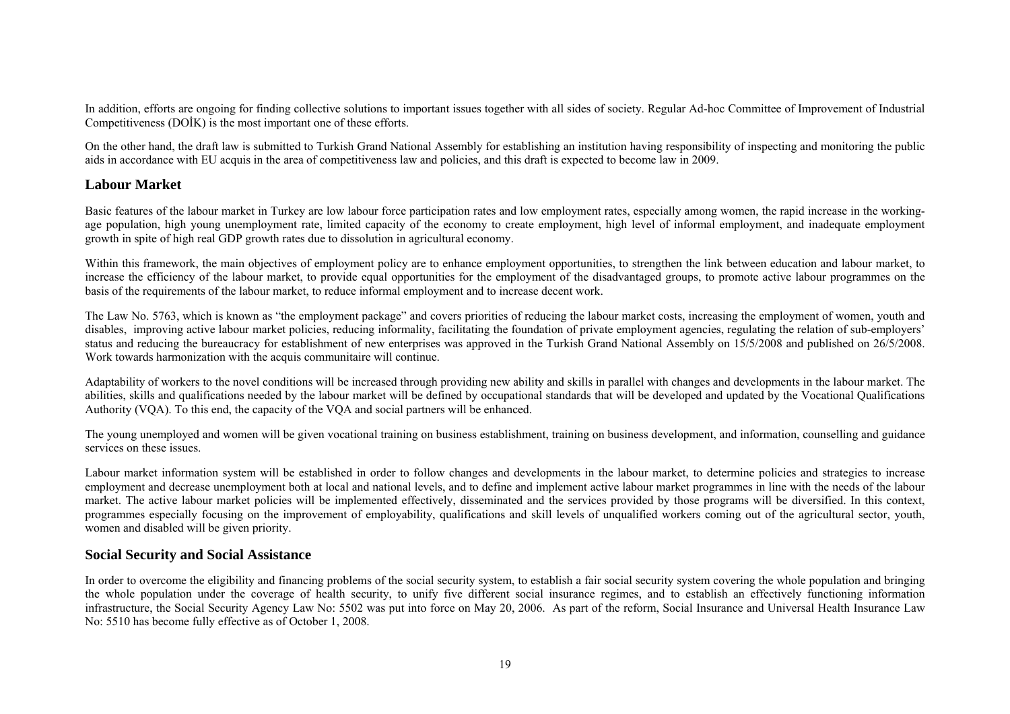In addition, efforts are ongoing for finding collective solutions to important issues together with all sides of society. Regular Ad-hoc Committee of Improvement of Industrial Competitiveness (DOİK) is the most important one of these efforts.

On the other hand, the draft law is submitted to Turkish Grand National Assembly for establishing an institution having responsibility of inspecting and monitoring the public aids in accordance with EU acquis in the area of competitiveness law and policies, and this draft is expected to become law in 2009.

### **Labour Market**

Basic features of the labour market in Turkey are low labour force participation rates and low employment rates, especially among women, the rapid increase in the workingage population, high young unemployment rate, limited capacity of the economy to create employment, high level of informal employment, and inadequate employment growth in spite of high real GDP growth rates due to dissolution in agricultural economy.

Within this framework, the main objectives of employment policy are to enhance employment opportunities, to strengthen the link between education and labour market, to increase the efficiency of the labour market, to provide equal opportunities for the employment of the disadvantaged groups, to promote active labour programmes on the basis of the requirements of the labour market, to reduce informal employment and to increase decent work.

The Law No. 5763, which is known as "the employment package" and covers priorities of reducing the labour market costs, increasing the employment of women, youth and disables, improving active labour market policies, reducing informality, facilitating the foundation of private employment agencies, regulating the relation of sub-employers' status and reducing the bureaucracy for establishment of new enterprises was approved in the Turkish Grand National Assembly on 15/5/2008 and published on 26/5/2008. Work towards harmonization with the acquis communitaire will continue.

Adaptability of workers to the novel conditions will be increased through providing new ability and skills in parallel with changes and developments in the labour market. The abilities, skills and qualifications needed by the labour market will be defined by occupational standards that will be developed and updated by the Vocational Qualifications Authority (VQA). To this end, the capacity of the VQA and social partners will be enhanced.

The young unemployed and women will be given vocational training on business establishment, training on business development, and information, counselling and guidance services on these issues.

Labour market information system will be established in order to follow changes and developments in the labour market, to determine policies and strategies to increase employment and decrease unemployment both at local and national levels, and to define and implement active labour market programmes in line with the needs of the labour market. The active labour market policies will be implemented effectively, disseminated and the services provided by those programs will be diversified. In this context, programmes especially focusing on the improvement of employability, qualifications and skill levels of unqualified workers coming out of the agricultural sector, youth, women and disabled will be given priority.

#### **Social Security and Social Assistance**

In order to overcome the eligibility and financing problems of the social security system, to establish a fair social security system covering the whole population and bringing the whole population under the coverage of health security, to unify five different social insurance regimes, and to establish an effectively functioning information infrastructure, the Social Security Agency Law No: 5502 was put into force on May 20, 2006. As part of the reform, Social Insurance and Universal Health Insurance Law No: 5510 has become fully effective as of October 1, 2008.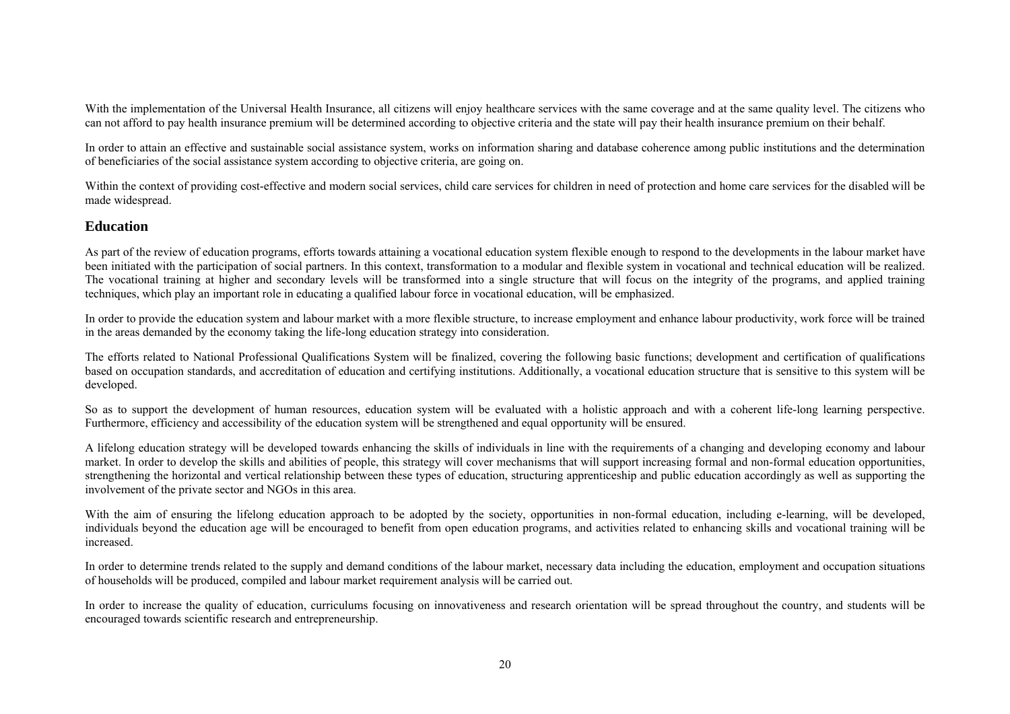With the implementation of the Universal Health Insurance, all citizens will enjoy healthcare services with the same coverage and at the same quality level. The citizens who can not afford to pay health insurance premium will be determined according to objective criteria and the state will pay their health insurance premium on their behalf.

In order to attain an effective and sustainable social assistance system, works on information sharing and database coherence among public institutions and the determination of beneficiaries of the social assistance system according to objective criteria, are going on.

Within the context of providing cost-effective and modern social services, child care services for children in need of protection and home care services for the disabled will be made widespread.

#### **Education**

As part of the review of education programs, efforts towards attaining a vocational education system flexible enough to respond to the developments in the labour market have been initiated with the participation of social partners. In this context, transformation to a modular and flexible system in vocational and technical education will be realized. The vocational training at higher and secondary levels will be transformed into a single structure that will focus on the integrity of the programs, and applied training techniques, which play an important role in educating a qualified labour force in vocational education, will be emphasized.

In order to provide the education system and labour market with a more flexible structure, to increase employment and enhance labour productivity, work force will be trained in the areas demanded by the economy taking the life-long education strategy into consideration.

The efforts related to National Professional Qualifications System will be finalized, covering the following basic functions; development and certification of qualifications based on occupation standards, and accreditation of education and certifying institutions. Additionally, a vocational education structure that is sensitive to this system will be developed.

So as to support the development of human resources, education system will be evaluated with a holistic approach and with a coherent life-long learning perspective. Furthermore, efficiency and accessibility of the education system will be strengthened and equal opportunity will be ensured.

A lifelong education strategy will be developed towards enhancing the skills of individuals in line with the requirements of a changing and developing economy and labour market. In order to develop the skills and abilities of people, this strategy will cover mechanisms that will support increasing formal and non-formal education opportunities, strengthening the horizontal and vertical relationship between these types of education, structuring apprenticeship and public education accordingly as well as supporting the involvement of the private sector and NGOs in this area.

With the aim of ensuring the lifelong education approach to be adopted by the society, opportunities in non-formal education, including e-learning, will be developed, individuals beyond the education age will be encouraged to benefit from open education programs, and activities related to enhancing skills and vocational training will be increased.

In order to determine trends related to the supply and demand conditions of the labour market, necessary data including the education, employment and occupation situations of households will be produced, compiled and labour market requirement analysis will be carried out.

In order to increase the quality of education, curriculums focusing on innovativeness and research orientation will be spread throughout the country, and students will be encouraged towards scientific research and entrepreneurship.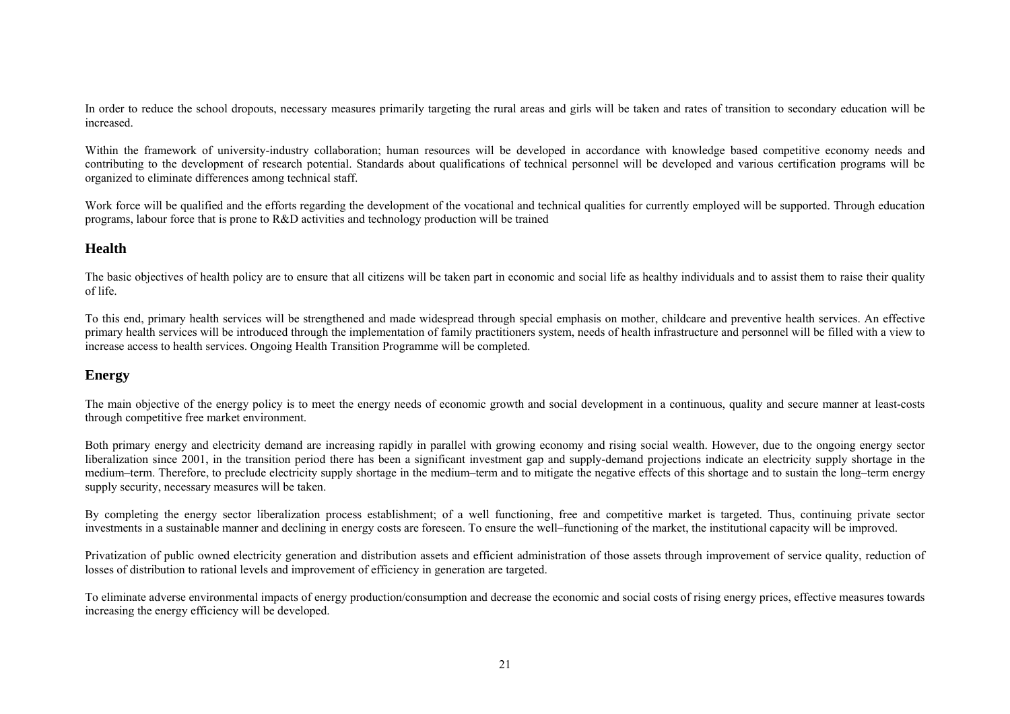In order to reduce the school dropouts, necessary measures primarily targeting the rural areas and girls will be taken and rates of transition to secondary education will be increased.

Within the framework of university-industry collaboration; human resources will be developed in accordance with knowledge based competitive economy needs and contributing to the development of research potential. Standards about qualifications of technical personnel will be developed and various certification programs will be organized to eliminate differences among technical staff.

Work force will be qualified and the efforts regarding the development of the vocational and technical qualities for currently employed will be supported. Through education programs, labour force that is prone to R&D activities and technology production will be trained

# **Health**

The basic objectives of health policy are to ensure that all citizens will be taken part in economic and social life as healthy individuals and to assist them to raise their quality of life.

To this end, primary health services will be strengthened and made widespread through special emphasis on mother, childcare and preventive health services. An effective primary health services will be introduced through the implementation of family practitioners system, needs of health infrastructure and personnel will be filled with a view to increase access to health services. Ongoing Health Transition Programme will be completed.

### **Energy**

The main objective of the energy policy is to meet the energy needs of economic growth and social development in a continuous, quality and secure manner at least-costs through competitive free market environment.

Both primary energy and electricity demand are increasing rapidly in parallel with growing economy and rising social wealth. However, due to the ongoing energy sector liberalization since 2001, in the transition period there has been a significant investment gap and supply-demand projections indicate an electricity supply shortage in the medium–term. Therefore, to preclude electricity supply shortage in the medium–term and to mitigate the negative effects of this shortage and to sustain the long–term energy supply security, necessary measures will be taken.

By completing the energy sector liberalization process establishment; of a well functioning, free and competitive market is targeted. Thus, continuing private sector investments in a sustainable manner and declining in energy costs are foreseen. To ensure the well–functioning of the market, the institutional capacity will be improved.

Privatization of public owned electricity generation and distribution assets and efficient administration of those assets through improvement of service quality, reduction of losses of distribution to rational levels and improvement of efficiency in generation are targeted.

To eliminate adverse environmental impacts of energy production/consumption and decrease the economic and social costs of rising energy prices, effective measures towards increasing the energy efficiency will be developed.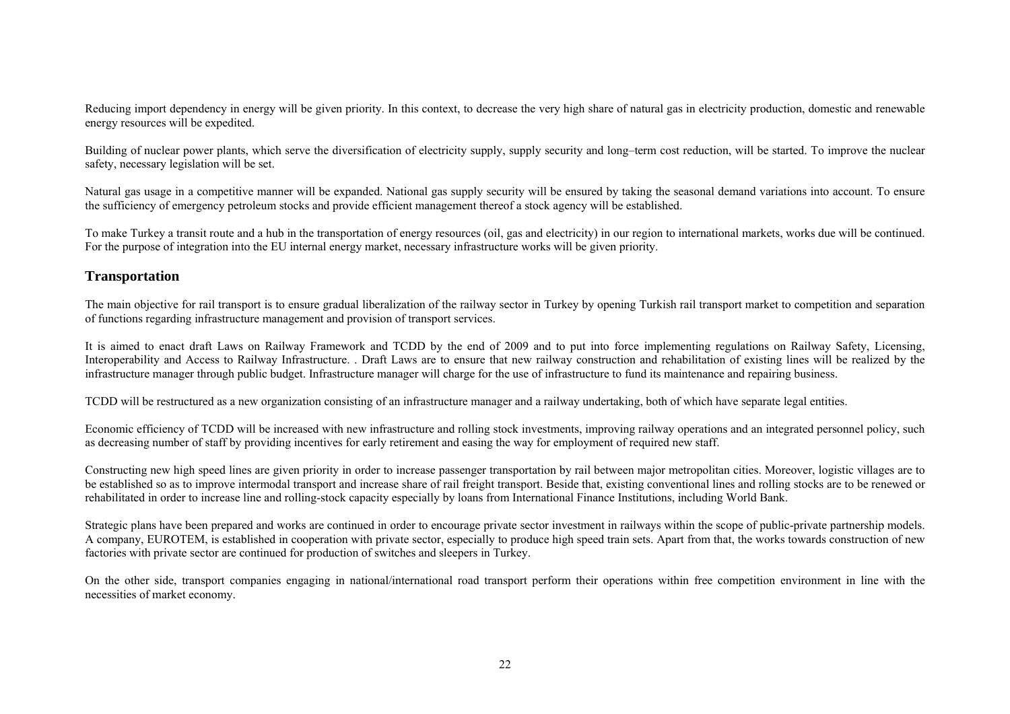Reducing import dependency in energy will be given priority. In this context, to decrease the very high share of natural gas in electricity production, domestic and renewable energy resources will be expedited.

Building of nuclear power plants, which serve the diversification of electricity supply, supply security and long–term cost reduction, will be started. To improve the nuclear safety, necessary legislation will be set.

Natural gas usage in a competitive manner will be expanded. National gas supply security will be ensured by taking the seasonal demand variations into account. To ensure the sufficiency of emergency petroleum stocks and provide efficient management thereof a stock agency will be established.

To make Turkey a transit route and a hub in the transportation of energy resources (oil, gas and electricity) in our region to international markets, works due will be continued. For the purpose of integration into the EU internal energy market, necessary infrastructure works will be given priority.

#### **Transportation**

The main objective for rail transport is to ensure gradual liberalization of the railway sector in Turkey by opening Turkish rail transport market to competition and separation of functions regarding infrastructure management and provision of transport services.

It is aimed to enact draft Laws on Railway Framework and TCDD by the end of 2009 and to put into force implementing regulations on Railway Safety, Licensing, Interoperability and Access to Railway Infrastructure. . Draft Laws are to ensure that new railway construction and rehabilitation of existing lines will be realized by the infrastructure manager through public budget. Infrastructure manager will charge for the use of infrastructure to fund its maintenance and repairing business.

TCDD will be restructured as a new organization consisting of an infrastructure manager and a railway undertaking, both of which have separate legal entities.

Economic efficiency of TCDD will be increased with new infrastructure and rolling stock investments, improving railway operations and an integrated personnel policy, such as decreasing number of staff by providing incentives for early retirement and easing the way for employment of required new staff.

Constructing new high speed lines are given priority in order to increase passenger transportation by rail between major metropolitan cities. Moreover, logistic villages are to be established so as to improve intermodal transport and increase share of rail freight transport. Beside that, existing conventional lines and rolling stocks are to be renewed or rehabilitated in order to increase line and rolling-stock capacity especially by loans from International Finance Institutions, including World Bank.

Strategic plans have been prepared and works are continued in order to encourage private sector investment in railways within the scope of public-private partnership models. A company, EUROTEM, is established in cooperation with private sector, especially to produce high speed train sets. Apart from that, the works towards construction of new factories with private sector are continued for production of switches and sleepers in Turkey.

On the other side, transport companies engaging in national/international road transport perform their operations within free competition environment in line with the necessities of market economy.